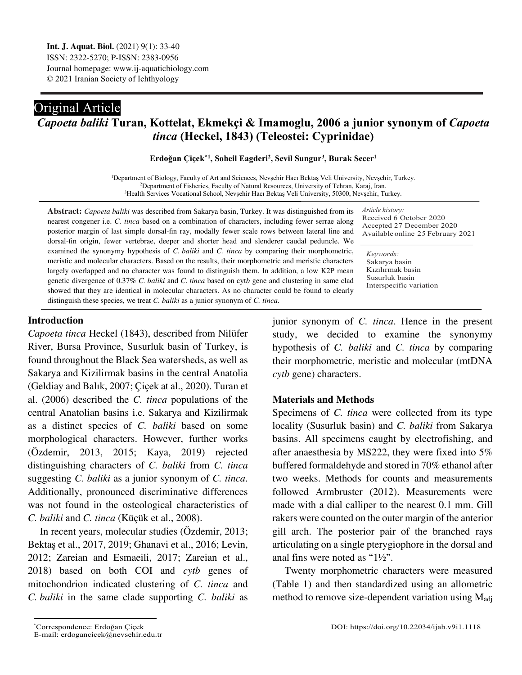# Original Article *Capoeta baliki* **Turan, Kottelat, Ekmekçi & Imamoglu, 2006 a junior synonym of** *Capoeta tinca* **(Heckel, 1843) (Teleostei: Cyprinidae)**

#### **Erdoğan Çiçek\*[1](#page-0-0) , Soheil Eagderi2 , Sevil Sungur3 , Burak Secer1**

1 Department of Biology, Faculty of Art and Sciences, Nevşehir Hacı Bektaş Veli University, Nevşehir, Turkey. <sup>2</sup>Department of Fisheries, Faculty of Natural Resources, University of Tehran, Karaj, Iran. 3 Health Services Vocational School, Nevşehir Hacı Bektaş Veli University, 50300, Nevşehir, Turkey.

s genetic divergence of 0.37% *C. baliki* and *C. tinca* based on cyt*b* gene and clustering in same clad **Abstract:** *Capoeta baliki* was described from Sakarya basin, Turkey. It was distinguished from its nearest congener i.e. *C. tinca* based on a combination of characters, including fewer serrae along posterior margin of last simple dorsal-fin ray, modally fewer scale rows between lateral line and dorsal-fin origin, fewer vertebrae, deeper and shorter head and slenderer caudal peduncle. We examined the synonymy hypothesis of *C. baliki* and *C. tinca* by comparing their morphometric, meristic and molecular characters. Based on the results, their morphometric and meristic characters largely overlapped and no character was found to distinguish them. In addition, a low K2P mean showed that they are identical in molecular characters. As no character could be found to clearly distinguish these species, we treat *C. baliki* as a junior synonym of *C. tinca*.

*Article history:* Received 6 October 2020 Accepted 27 December 2020 Available online 25 February 2021

*Keywords:* Sakarya basin Kızılırmak basin Susurluk basin Interspecific variation

#### **Introduction**

*Capoeta tinca* Heckel (1843), described from Nilüfer River, Bursa Province, Susurluk basin of Turkey, is found throughout the Black Sea watersheds, as well as Sakarya and Kizilirmak basins in the central Anatolia (Geldiay and Balık, 2007; Çiçek at al., 2020). Turan et al. (2006) described the *C. tinca* populations of the central Anatolian basins i.e. Sakarya and Kizilirmak as a distinct species of *C. baliki* based on some morphological characters. However, further works (Özdemir, 2013, 2015; Kaya, 2019) rejected distinguishing characters of *C. baliki* from *C. tinca* suggesting *C. baliki* as a junior synonym of *C. tinca*. Additionally, pronounced discriminative differences was not found in the osteological characteristics of *C. baliki* and *C. tinca* (Küçük et al., 2008).

In recent years, molecular studies (Özdemir, 2013; Bektaş et al., 2017, 2019; Ghanavi et al., 2016; Levin, 2012; Zareian and Esmaeili, 2017; Zareian et al., 2018) based on both COI and *cytb* genes of mitochondrion indicated clustering of *C. tinca* and *C. baliki* in the same clade supporting *C. baliki* as

junior synonym of *C. tinca*. Hence in the present study, we decided to examine the synonymy hypothesis of *C. baliki* and *C. tinca* by comparing their morphometric, meristic and molecular (mtDNA *cytb* gene) characters.

#### **Materials and Methods**

Specimens of *C. tinca* were collected from its type locality (Susurluk basin) and *C. baliki* from Sakarya basins. All specimens caught by electrofishing, and after anaesthesia by MS222, they were fixed into 5% buffered formaldehyde and stored in 70% ethanol after two weeks. Methods for counts and measurements followed Armbruster (2012). Measurements were made with a dial calliper to the nearest 0.1 mm. Gill rakers were counted on the outer margin of the anterior gill arch. The posterior pair of the branched rays articulating on a single pterygiophore in the dorsal and anal fins were noted as "1½".

Twenty morphometric characters were measured (Table 1) and then standardized using an allometric method to remove size-dependent variation using  $M_{\text{adi}}$ 

<span id="page-0-0"></span><u>.</u>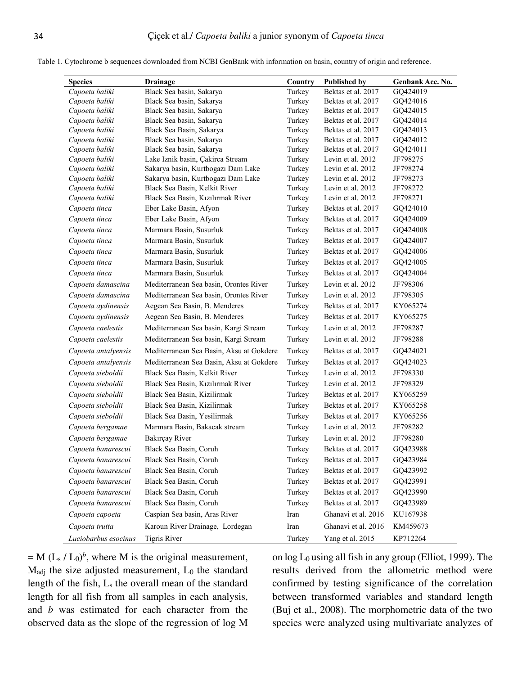|  |  |  | Table 1. Cytochrome b sequences downloaded from NCBI GenBank with information on basin, country of origin and reference. |  |  |  |  |  |  |
|--|--|--|--------------------------------------------------------------------------------------------------------------------------|--|--|--|--|--|--|
|--|--|--|--------------------------------------------------------------------------------------------------------------------------|--|--|--|--|--|--|

| <b>Species</b>       | <b>Drainage</b>                          | Country | <b>Published by</b> | Genbank Acc. No. |
|----------------------|------------------------------------------|---------|---------------------|------------------|
| Capoeta baliki       | Black Sea basin, Sakarya                 | Turkey  | Bektas et al. 2017  | GQ424019         |
| Capoeta baliki       | Black Sea basin, Sakarya                 | Turkey  | Bektas et al. 2017  | GQ424016         |
| Capoeta baliki       | Black Sea basin, Sakarya                 | Turkey  | Bektas et al. 2017  | GQ424015         |
| Capoeta baliki       | Black Sea basin, Sakarya                 | Turkey  | Bektas et al. 2017  | GQ424014         |
| Capoeta baliki       | Black Sea Basin, Sakarya                 | Turkey  | Bektas et al. 2017  | GQ424013         |
| Capoeta baliki       | Black Sea basin, Sakarya                 | Turkey  | Bektas et al. 2017  | GQ424012         |
| Capoeta baliki       | Black Sea basin, Sakarya                 | Turkey  | Bektas et al. 2017  | GQ424011         |
| Capoeta baliki       | Lake Iznik basin, Çakirca Stream         | Turkey  | Levin et al. 2012   | JF798275         |
| Capoeta baliki       | Sakarya basin, Kurtbogazı Dam Lake       | Turkey  | Levin et al. 2012   | JF798274         |
| Capoeta baliki       | Sakarya basin, Kurtbogazı Dam Lake       | Turkey  | Levin et al. 2012   | JF798273         |
| Capoeta baliki       | Black Sea Basin, Kelkit River            | Turkey  | Levin et al. 2012   | JF798272         |
| Capoeta baliki       | Black Sea Basin, Kızılırmak River        | Turkey  | Levin et al. 2012   | JF798271         |
| Capoeta tinca        | Eber Lake Basin, Afyon                   | Turkey  | Bektas et al. 2017  | GQ424010         |
| Capoeta tinca        | Eber Lake Basin, Afyon                   | Turkey  | Bektas et al. 2017  | GQ424009         |
| Capoeta tinca        | Marmara Basin, Susurluk                  | Turkey  | Bektas et al. 2017  | GQ424008         |
| Capoeta tinca        | Marmara Basin, Susurluk                  | Turkey  | Bektas et al. 2017  | GQ424007         |
| Capoeta tinca        | Marmara Basin, Susurluk                  | Turkey  | Bektas et al. 2017  | GQ424006         |
| Capoeta tinca        | Marmara Basin, Susurluk                  | Turkey  | Bektas et al. 2017  | GQ424005         |
| Capoeta tinca        | Marmara Basin, Susurluk                  | Turkey  | Bektas et al. 2017  | GQ424004         |
| Capoeta damascina    | Mediterranean Sea basin, Orontes River   | Turkey  | Levin et al. 2012   | JF798306         |
| Capoeta damascina    | Mediterranean Sea basin, Orontes River   | Turkey  | Levin et al. 2012   | JF798305         |
| Capoeta aydinensis   | Aegean Sea Basin, B. Menderes            | Turkey  | Bektas et al. 2017  | KY065274         |
| Capoeta aydinensis   | Aegean Sea Basin, B. Menderes            | Turkey  | Bektas et al. 2017  | KY065275         |
| Capoeta caelestis    | Mediterranean Sea basin, Kargi Stream    | Turkey  | Levin et al. 2012   | JF798287         |
| Capoeta caelestis    | Mediterranean Sea basin, Kargi Stream    | Turkey  | Levin et al. 2012   | JF798288         |
| Capoeta antalyensis  | Mediterranean Sea Basin, Aksu at Gokdere | Turkey  | Bektas et al. 2017  | GQ424021         |
| Capoeta antalyensis  | Mediterranean Sea Basin, Aksu at Gokdere | Turkey  | Bektas et al. 2017  | GQ424023         |
| Capoeta sieboldii    | Black Sea Basin, Kelkit River            | Turkey  | Levin et al. 2012   | JF798330         |
| Capoeta sieboldii    | Black Sea Basin, Kızılırmak River        | Turkey  | Levin et al. 2012   | JF798329         |
| Capoeta sieboldii    | Black Sea Basin, Kizilirmak              | Turkey  | Bektas et al. 2017  | KY065259         |
| Capoeta sieboldii    | Black Sea Basin, Kizilirmak              | Turkey  | Bektas et al. 2017  | KY065258         |
| Capoeta sieboldii    | Black Sea Basin, Yesilirmak              | Turkey  | Bektas et al. 2017  | KY065256         |
| Capoeta bergamae     | Marmara Basin, Bakacak stream            | Turkey  | Levin et al. 2012   | JF798282         |
| Capoeta bergamae     | Bakırçay River                           | Turkey  | Levin et al. 2012   | JF798280         |
| Capoeta banarescui   | Black Sea Basin, Coruh                   | Turkey  | Bektas et al. 2017  | GQ423988         |
| Capoeta banarescui   | Black Sea Basin, Coruh                   | Turkey  | Bektas et al. 2017  | GQ423984         |
| Capoeta banarescui   | Black Sea Basin, Coruh                   | Turkey  | Bektas et al. 2017  | GQ423992         |
| Capoeta banarescui   | Black Sea Basin, Coruh                   | Turkey  | Bektas et al. 2017  | GQ423991         |
| Capoeta banarescui   | Black Sea Basin, Coruh                   | Turkey  | Bektas et al. 2017  | GQ423990         |
| Capoeta banarescui   | Black Sea Basin, Coruh                   | Turkey  | Bektas et al. 2017  | GQ423989         |
| Capoeta capoeta      | Caspian Sea basin, Aras River            | Iran    | Ghanavi et al. 2016 | KU167938         |
|                      | Karoun River Drainage, Lordegan          | Iran    | Ghanavi et al. 2016 | KM459673         |
| Capoeta trutta       |                                          |         |                     |                  |
| Luciobarbus esocinus | <b>Tigris River</b>                      | Turkey  | Yang et al. 2015    | KP712264         |

 $=$  M (L<sub>s</sub> / L<sub>0</sub>)<sup>*b*</sup>, where M is the original measurement, Madj the size adjusted measurement, L0 the standard length of the fish, Ls the overall mean of the standard length for all fish from all samples in each analysis, and *b* was estimated for each character from the observed data as the slope of the regression of log M

on  $log L_0$  using all fish in any group (Elliot, 1999). The results derived from the allometric method were confirmed by testing significance of the correlation between transformed variables and standard length (Buj et al., 2008). The morphometric data of the two species were analyzed using multivariate analyzes of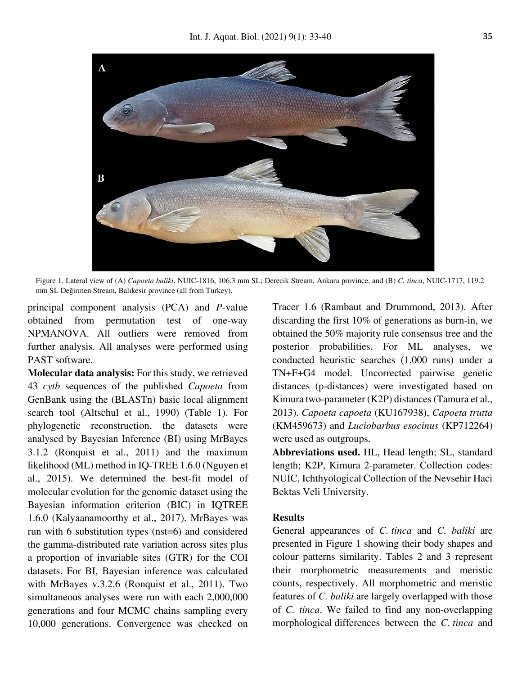

Figure 1. Lateral view of (A) *Capoeta baliki*, NUIC-1816, 106.3 mm SL; Derecik Stream, Ankara province, and (B) *C. tinca*, NUIC-1717, 119.2 mm SL Değirmen Stream, Balıkesir province (all from Turkey).

principal component analysis (PCA) and *P*-value obtained from permutation test of one-way NPMANOVA. All outliers were removed from further analysis. All analyses were performed using PAST software.

**Molecular data analysis:** For this study, we retrieved 43 *cytb* sequences of the published *Capoeta* from GenBank using the (BLASTn) basic local alignment search tool (Altschul et al., 1990) (Table 1). For phylogenetic reconstruction, the datasets were analysed by Bayesian Inference (BI) using MrBayes 3.1.2 (Ronquist et al., 2011) and the maximum likelihood (ML) method in IQ-TREE 1.6.0 (Nguyen et al., 2015). We determined the best-fit model of molecular evolution for the genomic dataset using the Bayesian information criterion (BIC) in IQTREE 1.6.0 (Kalyaanamoorthy et al., 2017). MrBayes was run with 6 substitution types (nst=6) and considered the gamma-distributed rate variation across sites plus a proportion of invariable sites (GTR) for the COI datasets. For BI, Bayesian inference was calculated with MrBayes v.3.2.6 (Ronquist et al., 2011). Two simultaneous analyses were run with each 2,000,000 generations and four MCMC chains sampling every 10,000 generations. Convergence was checked on

Tracer 1.6 (Rambaut and Drummond, 2013). After discarding the first 10% of generations as burn-in, we obtained the 50% majority rule consensus tree and the posterior probabilities. For ML analyses, we conducted heuristic searches (1,000 runs) under a TN+F+G4 model. Uncorrected pairwise genetic distances (p-distances) were investigated based on Kimura two-parameter (K2P) distances (Tamura et al., 2013). *Capoeta capoeta* (KU167938), *Capoeta trutta* (KM459673) and *Luciobarbus esocinus* (KP712264) were used as outgroups.

**Abbreviations used.** HL, Head length; SL, standard length; K2P, Kimura 2-parameter. Collection codes: NUIC, Ichthyological Collection of the Nevsehir Haci Bektas Veli University.

#### **Results**

General appearances of *C. tinca* and *C. baliki* are presented in Figure 1 showing their body shapes and colour patterns similarity. Tables 2 and 3 represent their morphometric measurements and meristic counts, respectively. All morphometric and meristic features of *C. baliki* are largely overlapped with those of *C. tinca*. We failed to find any non-overlapping morphological differences between the *C. tinca* and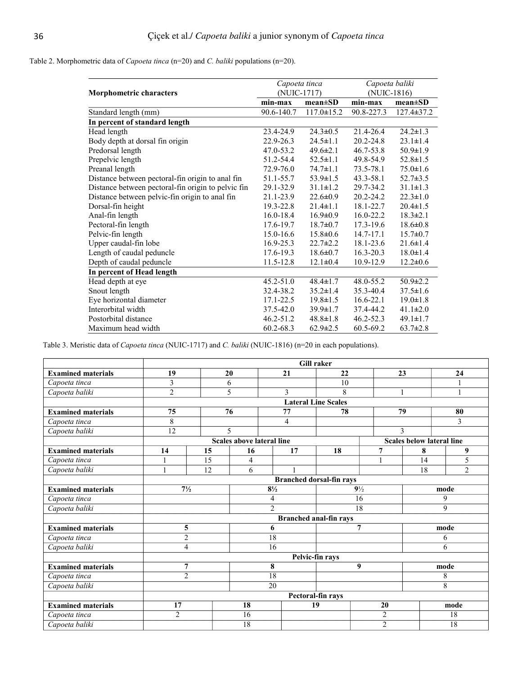#### Table 2. Morphometric data of *Capoeta tinca* (n=20) and *C. baliki* populations (n=20).

|                                                    | Capoeta tinca |                  | Capoeta baliki |                  |  |
|----------------------------------------------------|---------------|------------------|----------------|------------------|--|
| <b>Morphometric characters</b>                     | (NUIC-1717)   |                  | (NUIC-1816)    |                  |  |
|                                                    | min-max       | $mean \pm SD$    | $min-max$      | $mean \pm SD$    |  |
| Standard length (mm)                               | 90.6-140.7    | $117.0 \pm 15.2$ | 90.8-227.3     | $127.4 \pm 37.2$ |  |
| In percent of standard length                      |               |                  |                |                  |  |
| Head length                                        | 23.4-24.9     | $24.3 \pm 0.5$   | 21.4-26.4      | $24.2 \pm 1.3$   |  |
| Body depth at dorsal fin origin                    | 22.9-26.3     | $24.5 \pm 1.1$   | $20.2 - 24.8$  | $23.1 \pm 1.4$   |  |
| Predorsal length                                   | 47.0-53.2     | $49.6 \pm 2.1$   | 46.7-53.8      | $50.9 \pm 1.9$   |  |
| Prepelvic length                                   | 51.2-54.4     | $52.5 \pm 1.1$   | 49.8-54.9      | $52.8 \pm 1.5$   |  |
| Preanal length                                     | 72.9-76.0     | $74.7 \pm 1.1$   | 73.5-78.1      | $75.0 \pm 1.6$   |  |
| Distance between pectoral-fin origin to anal fin   | 51.1-55.7     | $53.9 \pm 1.5$   | 43.3-58.1      | $52.7 \pm 3.5$   |  |
| Distance between pectoral-fin origin to pelvic fin | 29.1-32.9     | $31.1 \pm 1.2$   | 29.7-34.2      | $31.1 \pm 1.3$   |  |
| Distance between pelvic-fin origin to anal fin     | 21.1-23.9     | $22.6 \pm 0.9$   | $20.2 - 24.2$  | $22.3 \pm 1.0$   |  |
| Dorsal-fin height                                  | 19.3-22.8     | $21.4 \pm 1.1$   | 18.1-22.7      | $20.4 \pm 1.5$   |  |
| Anal-fin length                                    | $16.0 - 18.4$ | $16.9 \pm 0.9$   | $16.0 - 22.2$  | $18.3 \pm 2.1$   |  |
| Pectoral-fin length                                | 17.6-19.7     | $18.7 \pm 0.7$   | $17.3 - 19.6$  | $18.6 \pm 0.8$   |  |
| Pelvic-fin length                                  | 15.0-16.6     | $15.8 \pm 0.6$   | $14.7 - 17.1$  | $15.7 \pm 0.7$   |  |
| Upper caudal-fin lobe                              | $16.9 - 25.3$ | $22.7 \pm 2.2$   | 18.1-23.6      | $21.6 \pm 1.4$   |  |
| Length of caudal peduncle                          | 17.6-19.3     | $18.6 \pm 0.7$   | $16.3 - 20.3$  | $18.0 \pm 1.4$   |  |
| Depth of caudal peduncle                           | 11.5-12.8     | $12.1 \pm 0.4$   | 10.9-12.9      | $12.2 \pm 0.6$   |  |
| In percent of Head length                          |               |                  |                |                  |  |
| Head depth at eye                                  | 45.2-51.0     | $48.4 \pm 1.7$   | 48.0-55.2      | $50.9 \pm 2.2$   |  |
| Snout length                                       | 32.4-38.2     | $35.2 \pm 1.4$   | 35.3-40.4      | $37.5 \pm 1.6$   |  |
| Eye horizontal diameter                            | 17.1-22.5     | $19.8 \pm 1.5$   | $16.6 - 22.1$  | $19.0 \pm 1.8$   |  |
| Interorbital width                                 | 37.5-42.0     | $39.9 \pm 1.7$   | 37.4-44.2      | $41.1 \pm 2.0$   |  |
| Postorbital distance                               | $46.2 - 51.2$ | $48.8 \pm 1.8$   | $46.2 - 52.3$  | $49.1 \pm 1.7$   |  |
| Maximum head width                                 | 60.2-68.3     | $62.9 \pm 2.5$   | 60.5-69.2      | $63.7 \pm 2.8$   |  |

Table 3. Meristic data of *Capoeta tinca* (NUIC-1717) and *C. baliki* (NUIC-1816) (n=20 in each populations).

|                           | <b>Gill raker</b>               |    |    |                                  |                |                |   |                                  |      |                |  |
|---------------------------|---------------------------------|----|----|----------------------------------|----------------|----------------|---|----------------------------------|------|----------------|--|
| <b>Examined materials</b> | 19                              | 20 |    |                                  | 21             | 22             |   | 23                               | 24   |                |  |
| Capoeta tinca             | 3                               |    | 6  |                                  |                | 10             |   |                                  |      |                |  |
| Capoeta baliki            | $\overline{2}$                  |    | 5  |                                  |                | 8              |   | $\mathbf{1}$                     |      | $\mathbf{1}$   |  |
|                           | <b>Lateral Line Scales</b>      |    |    |                                  |                |                |   |                                  |      |                |  |
| <b>Examined materials</b> | 75                              |    | 76 | 77                               |                | 78             |   | 79                               |      | 80             |  |
| Capoeta tinca             | 8                               |    |    |                                  | $\overline{4}$ |                |   |                                  |      | 3              |  |
| Capoeta baliki            | 12                              |    | 5  |                                  |                |                |   | $\mathcal{E}$                    |      |                |  |
|                           |                                 |    |    | <b>Scales above lateral line</b> |                |                |   | <b>Scales below lateral line</b> |      |                |  |
| <b>Examined materials</b> | 14                              | 15 |    | 16                               | 17             | 18             | 7 |                                  | 8    | 9              |  |
| Capoeta tinca             | 1                               | 15 |    | 4                                |                |                |   |                                  | 14   | 5              |  |
| Capoeta baliki            | 1                               | 12 |    | 6                                | 1              |                |   |                                  | 18   | $\overline{c}$ |  |
|                           | <b>Branched dorsal-fin rays</b> |    |    |                                  |                |                |   |                                  |      |                |  |
| <b>Examined materials</b> | $7\frac{1}{2}$                  |    |    | $8\frac{1}{2}$                   |                | $9\frac{1}{2}$ |   |                                  | mode |                |  |
| Capoeta tinca             |                                 |    |    | 4                                |                | 16             |   |                                  | 9    |                |  |
| Capoeta baliki            | $\overline{2}$<br>18            |    |    |                                  |                | 9              |   |                                  |      |                |  |
|                           | <b>Branched anal-fin rays</b>   |    |    |                                  |                |                |   |                                  |      |                |  |
| <b>Examined materials</b> | $\overline{7}$<br>5<br>6        |    |    |                                  |                | mode           |   |                                  |      |                |  |
| Capoeta tinca             | $\overline{2}$                  |    |    | 18                               |                |                |   |                                  | 6    |                |  |
| Capoeta baliki            | $\overline{4}$                  |    |    | 16                               |                |                |   |                                  |      | 6              |  |
|                           | Pelvic-fin rays                 |    |    |                                  |                |                |   |                                  |      |                |  |
| <b>Examined materials</b> | $\overline{7}$                  |    |    | 8                                |                | 9              |   |                                  | mode |                |  |
| Capoeta tinca             | $\overline{2}$                  |    |    | 18                               |                |                |   |                                  | 8    |                |  |
| Capoeta baliki            |                                 |    | 20 |                                  |                |                |   |                                  | 8    |                |  |
|                           | Pectoral-fin rays               |    |    |                                  |                |                |   |                                  |      |                |  |
| <b>Examined materials</b> | 17                              |    |    | 18                               |                | 19             |   | 20                               | mode |                |  |
| Capoeta tinca             | $\overline{2}$                  |    |    | 16                               |                |                |   | $\overline{c}$                   |      | 18             |  |
| Capoeta baliki            |                                 |    |    | 18                               |                |                |   | $\overline{2}$                   |      | 18             |  |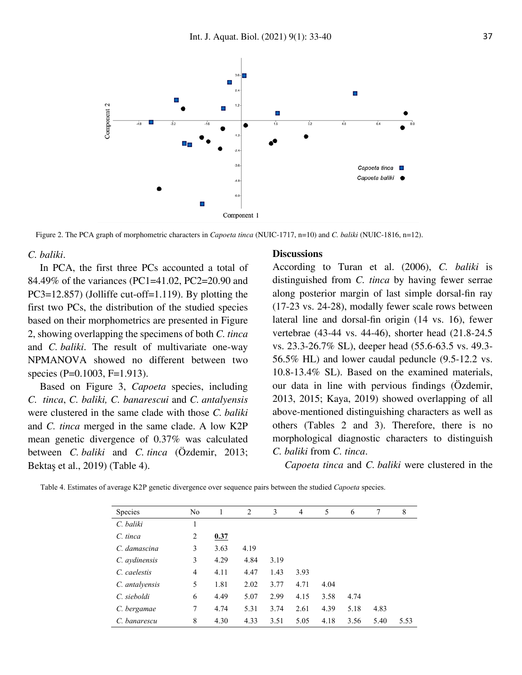

Figure 2. The PCA graph of morphometric characters in *Capoeta tinca* (NUIC-1717, n=10) and *C. baliki* (NUIC-1816, n=12).

#### *C. baliki*.

In PCA, the first three PCs accounted a total of 84.49% of the variances (PC1=41.02, PC2=20.90 and PC3=12.857) (Jolliffe cut-off=1.119). By plotting the first two PCs, the distribution of the studied species based on their morphometrics are presented in Figure 2, showing overlapping the specimens of both *C. tinca*  and *C. baliki*. The result of multivariate one-way NPMANOVA showed no different between two species (P=0.1003, F=1.913).

Based on Figure 3, *Capoeta* species, including *C. tinca*, *C. baliki, C. banarescui* and *C. antalyensis* were clustered in the same clade with those *C. baliki*  and *C. tinca* merged in the same clade. A low K2P mean genetic divergence of 0.37% was calculated between *C. baliki* and *C. tinca* (Özdemir, 2013; Bektaş et al., 2019) (Table 4).

#### **Discussions**

According to Turan et al. (2006), *C. baliki* is distinguished from *C. tinca* by having fewer serrae along posterior margin of last simple dorsal-fin ray (17-23 vs. 24-28), modally fewer scale rows between lateral line and dorsal-fin origin (14 vs. 16), fewer vertebrae (43-44 vs. 44-46), shorter head (21.8-24.5 vs. 23.3-26.7% SL), deeper head (55.6-63.5 vs. 49.3- 56.5% HL) and lower caudal peduncle (9.5-12.2 vs. 10.8-13.4% SL). Based on the examined materials, our data in line with pervious findings (Özdemir, 2013, 2015; Kaya, 2019) showed overlapping of all above-mentioned distinguishing characters as well as others (Tables 2 and 3). Therefore, there is no morphological diagnostic characters to distinguish *C. baliki* from *C. tinca*.

*Capoeta tinca* and *C. baliki* were clustered in the

Table 4. Estimates of average K2P genetic divergence over sequence pairs between the studied *Capoeta* species.

| Species        | No             | 1    | 2    | 3    | $\overline{4}$ | 5    | 6    | 7    | 8    |
|----------------|----------------|------|------|------|----------------|------|------|------|------|
| C. baliki      | 1              |      |      |      |                |      |      |      |      |
| C. tinca       | $\overline{2}$ | 0.37 |      |      |                |      |      |      |      |
| C. damascina   | 3              | 3.63 | 4.19 |      |                |      |      |      |      |
| C. aydinensis  | 3              | 4.29 | 4.84 | 3.19 |                |      |      |      |      |
| C. caelestis   | 4              | 4.11 | 4.47 | 1.43 | 3.93           |      |      |      |      |
| C. antalyensis | 5              | 1.81 | 2.02 | 3.77 | 4.71           | 4.04 |      |      |      |
| C. sieboldi    | 6              | 4.49 | 5.07 | 2.99 | 4.15           | 3.58 | 4.74 |      |      |
| C. bergamae    | 7              | 4.74 | 5.31 | 3.74 | 2.61           | 4.39 | 5.18 | 4.83 |      |
| C. banarescu   | 8              | 4.30 | 4.33 | 3.51 | 5.05           | 4.18 | 3.56 | 5.40 | 5.53 |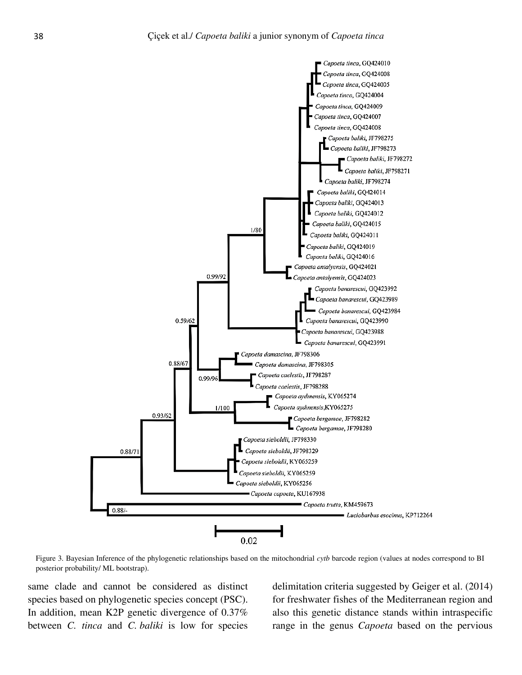

Figure 3. Bayesian Inference of the phylogenetic relationships based on the mitochondrial *cytb* barcode region (values at nodes correspond to BI posterior probability/ ML bootstrap).

same clade and cannot be considered as distinct species based on phylogenetic species concept (PSC). In addition, mean K2P genetic divergence of 0.37% between *C. tinca* and *C. baliki* is low for species

delimitation criteria suggested by Geiger et al. (2014) for freshwater fishes of the Mediterranean region and also this genetic distance stands within intraspecific range in the genus *Capoeta* based on the pervious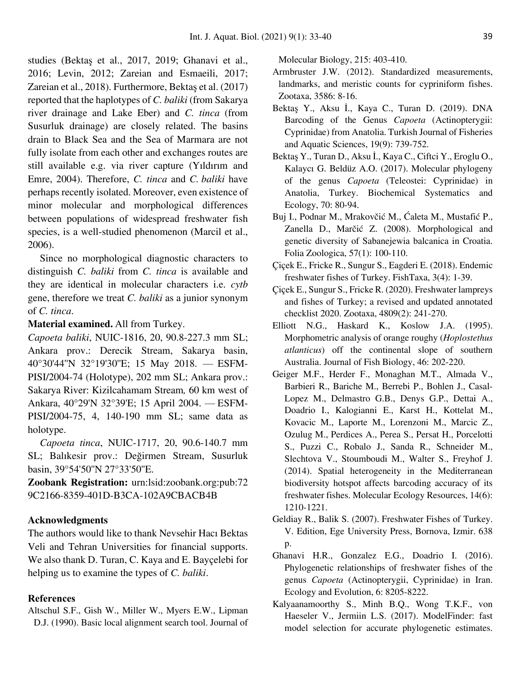studies (Bektaş et al., 2017, 2019; Ghanavi et al., 2016; Levin, 2012; Zareian and Esmaeili, 2017; Zareian et al., 2018). Furthermore, Bektaş et al. (2017) reported that the haplotypes of *C. baliki* (from Sakarya river drainage and Lake Eber) and *C. tinca* (from Susurluk drainage) are closely related. The basins drain to Black Sea and the Sea of Marmara are not fully isolate from each other and exchanges routes are still available e.g. via river capture (Yıldırım and Emre, 2004). Therefore, *C. tinca* and *C. baliki* have perhaps recently isolated. Moreover, even existence of minor molecular and morphological differences between populations of widespread freshwater fish species, is a well-studied phenomenon (Marcil et al., 2006).

Since no morphological diagnostic characters to distinguish *C. baliki* from *C. tinca* is available and they are identical in molecular characters i.e. *cytb* gene, therefore we treat *C. baliki* as a junior synonym of *C. tinca*.

**Material examined.** All from Turkey.

*Capoeta baliki*, NUIC-1816, 20, 90.8-227.3 mm SL; Ankara prov.: Derecik Stream, Sakarya basin, 40°30'44''N 32°19'30''E; 15 May 2018. *⸺* ESFM-PISI/2004-74 (Holotype), 202 mm SL; Ankara prov.: Sakarya River: Kizilcahamam Stream*,* 60 km west of Ankara, 40°29'N 32°39'E; 15 April 2004. - ESFM-PISI/2004-75, 4, 140-190 mm SL; same data as holotype.

*Capoeta tinca*, NUIC-1717, 20, 90.6-140.7 mm SL; Balıkesir prov.: Değirmen Stream, Susurluk basin, 39°54'50''N 27°33'50''E.

**Zoobank Registration:** urn:lsid:zoobank.org:pub:72 9C2166-8359-401D-B3CA-102A9CBACB4B

## **Acknowledgments**

The authors would like to thank Nevsehir Hacı Bektas Veli and Tehran Universities for financial supports. We also thank D. Turan, C. Kaya and E. Bayçelebi for helping us to examine the types of *C. baliki*.

### **References**

Altschul S.F., Gish W., Miller W., Myers E.W., Lipman D.J. (1990). Basic local alignment search tool. Journal of Molecular Biology, 215: 403-410.

- Armbruster J.W. (2012). Standardized measurements, landmarks, and meristic counts for cypriniform fishes. Zootaxa, 3586: 8-16.
- Bektaş Y., Aksu İ., Kaya C., Turan D. (2019). DNA Barcoding of the Genus *Capoeta* (Actinopterygii: Cyprinidae) from Anatolia. Turkish Journal of Fisheries and Aquatic Sciences, 19(9): 739-752.
- Bektaş Y., Turan D., Aksu İ., Kaya C., Ciftci Y., Eroglu O., Kalaycı G. Beldüz A.O. (2017). Molecular phylogeny of the genus *Capoeta* (Teleostei: Cyprinidae) in Anatolia, Turkey. Biochemical Systematics and Ecology, 70: 80-94.
- Buj I., Podnar M., Mrakovčić M., Ćaleta M., Mustafić P., Zanella D., Marčić Z. (2008). Morphological and genetic diversity of Sabanejewia balcanica in Croatia. Folia Zoologica, 57(1): 100-110.
- Çiçek E., Fricke R., Sungur S., Eagderi E. (2018). Endemic freshwater fishes of Turkey. FishTaxa, 3(4): 1-39.
- Çiçek E., Sungur S., Fricke R. (2020). Freshwater lampreys and fishes of Turkey; a revised and updated annotated checklist 2020. Zootaxa, 4809(2): 241-270.
- Elliott N.G., Haskard K., Koslow J.A. (1995). Morphometric analysis of orange roughy (*Hoplostethus atlanticus*) off the continental slope of southern Australia. Journal of Fish Biology, 46: 202-220.
- Geiger M.F., Herder F., Monaghan M.T., Almada V., Barbieri R., Bariche M., Berrebi P., Bohlen J., Casal-Lopez M., Delmastro G.B., Denys G.P., Dettai A., Doadrio I., Kalogianni E., Karst H., Kottelat M., Kovacic M., Laporte M., Lorenzoni M., Marcic Z., Ozulug M., Perdices A., Perea S., Persat H., Porcelotti S., Puzzi C., Robalo J., Sanda R., Schneider M., Slechtova V., Stoumboudi M., Walter S., Freyhof J. (2014). Spatial heterogeneity in the Mediterranean biodiversity hotspot affects barcoding accuracy of its freshwater fishes. Molecular Ecology Resources, 14(6): 1210-1221.
- Geldiay R., Balik S. (2007). Freshwater Fishes of Turkey. V. Edition, Ege University Press, Bornova, Izmir. 638 p.
- Ghanavi H.R., Gonzalez E.G., Doadrio I. (2016). Phylogenetic relationships of freshwater fishes of the genus *Capoeta* (Actinopterygii, Cyprinidae) in Iran. Ecology and Evolution, 6: 8205-8222.
- Kalyaanamoorthy S., Minh B.Q., Wong T.K.F., von Haeseler V., Jermiin L.S. (2017). ModelFinder: fast model selection for accurate phylogenetic estimates.